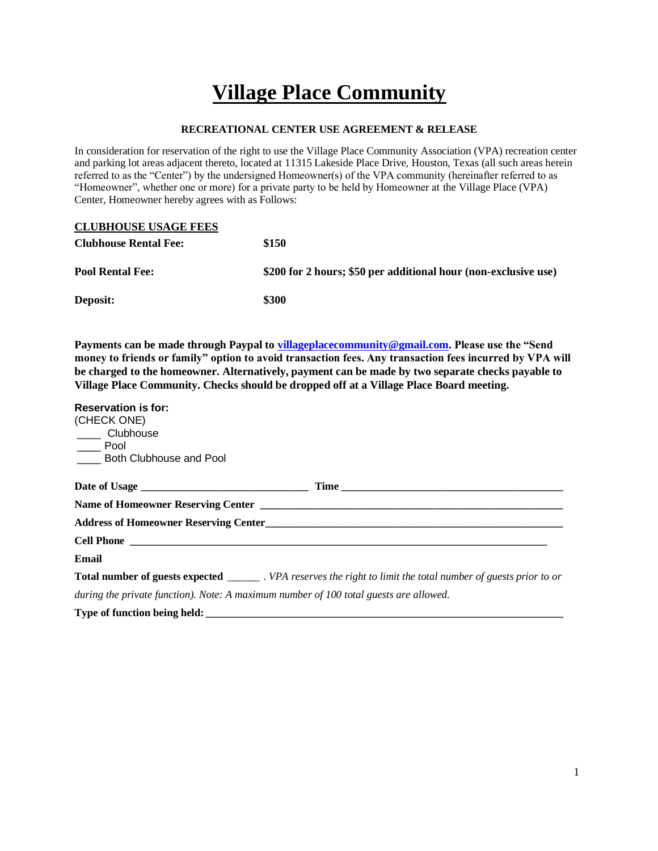## **Village Place Community**

## **RECREATIONAL CENTER USE AGREEMENT & RELEASE**

In consideration for reservation of the right to use the Village Place Community Association (VPA) recreation center and parking lot areas adjacent thereto, located at 11315 Lakeside Place Drive, Houston, Texas (all such areas herein referred to as the "Center") by the undersigned Homeowner(s) of the VPA community (hereinafter referred to as "Homeowner", whether one or more) for a private party to be held by Homeowner at the Village Place (VPA) Center, Homeowner hereby agrees with as Follows:

| <b>CLUBHOUSE USAGE FEES</b>  |                                                                 |
|------------------------------|-----------------------------------------------------------------|
| <b>Clubhouse Rental Fee:</b> | \$150                                                           |
| <b>Pool Rental Fee:</b>      | \$200 for 2 hours; \$50 per additional hour (non-exclusive use) |
| Deposit:                     | \$300                                                           |

**Payments can be made through Paypal to [villageplacecommunity@gmail.com.](mailto:villageplacecommunity@gmail.com) Please use the "Send money to friends or family" option to avoid transaction fees. Any transaction fees incurred by VPA will be charged to the homeowner. Alternatively, payment can be made by two separate checks payable to Village Place Community. Checks should be dropped off at a Village Place Board meeting.**

| <b>Reservation is for:</b>                                                            |                                                                                                                         |
|---------------------------------------------------------------------------------------|-------------------------------------------------------------------------------------------------------------------------|
| (CHECK ONE)                                                                           |                                                                                                                         |
| ____ Clubhouse                                                                        |                                                                                                                         |
| Pool<br>Both Clubhouse and Pool                                                       |                                                                                                                         |
|                                                                                       |                                                                                                                         |
|                                                                                       |                                                                                                                         |
|                                                                                       |                                                                                                                         |
|                                                                                       |                                                                                                                         |
|                                                                                       |                                                                                                                         |
| Email                                                                                 |                                                                                                                         |
|                                                                                       | <b>Total number of guests expected</b> ________. VPA reserves the right to limit the total number of guests prior to or |
| during the private function). Note: A maximum number of 100 total guests are allowed. |                                                                                                                         |
|                                                                                       |                                                                                                                         |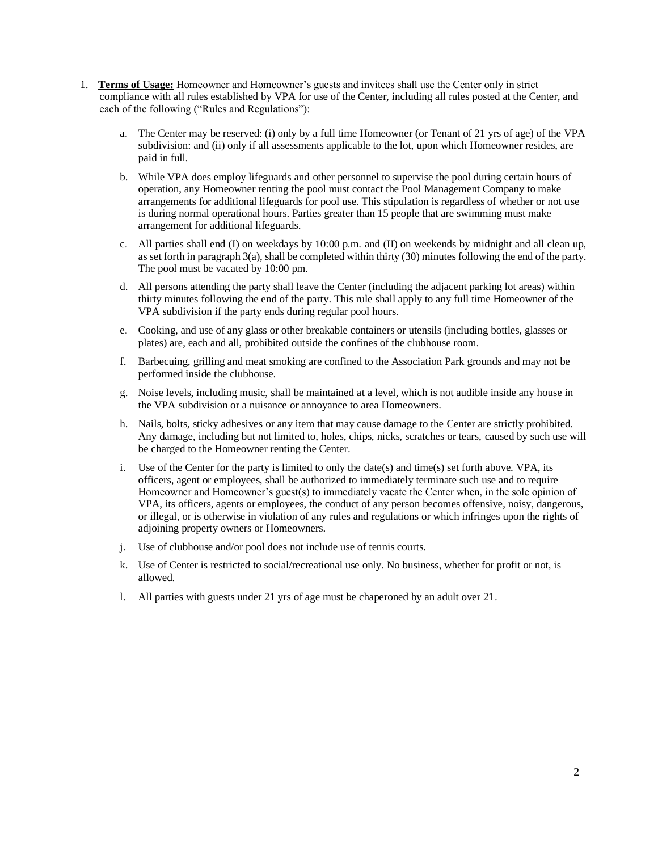- 1. **Terms of Usage:** Homeowner and Homeowner's guests and invitees shall use the Center only in strict compliance with all rules established by VPA for use of the Center, including all rules posted at the Center, and each of the following ("Rules and Regulations"):
	- a. The Center may be reserved: (i) only by a full time Homeowner (or Tenant of 21 yrs of age) of the VPA subdivision: and (ii) only if all assessments applicable to the lot, upon which Homeowner resides, are paid in full.
	- b. While VPA does employ lifeguards and other personnel to supervise the pool during certain hours of operation, any Homeowner renting the pool must contact the Pool Management Company to make arrangements for additional lifeguards for pool use. This stipulation is regardless of whether or not use is during normal operational hours. Parties greater than 15 people that are swimming must make arrangement for additional lifeguards.
	- c. All parties shall end (I) on weekdays by 10:00 p.m. and (II) on weekends by midnight and all clean up, as set forth in paragraph 3(a), shall be completed within thirty (30) minutes following the end of the party. The pool must be vacated by 10:00 pm.
	- d. All persons attending the party shall leave the Center (including the adjacent parking lot areas) within thirty minutes following the end of the party. This rule shall apply to any full time Homeowner of the VPA subdivision if the party ends during regular pool hours.
	- e. Cooking, and use of any glass or other breakable containers or utensils (including bottles, glasses or plates) are, each and all, prohibited outside the confines of the clubhouse room.
	- f. Barbecuing, grilling and meat smoking are confined to the Association Park grounds and may not be performed inside the clubhouse.
	- g. Noise levels, including music, shall be maintained at a level, which is not audible inside any house in the VPA subdivision or a nuisance or annoyance to area Homeowners.
	- h. Nails, bolts, sticky adhesives or any item that may cause damage to the Center are strictly prohibited. Any damage, including but not limited to, holes, chips, nicks, scratches or tears, caused by such use will be charged to the Homeowner renting the Center.
	- Use of the Center for the party is limited to only the date(s) and time(s) set forth above. VPA, its officers, agent or employees, shall be authorized to immediately terminate such use and to require Homeowner and Homeowner's guest(s) to immediately vacate the Center when, in the sole opinion of VPA, its officers, agents or employees, the conduct of any person becomes offensive, noisy, dangerous, or illegal, or is otherwise in violation of any rules and regulations or which infringes upon the rights of adjoining property owners or Homeowners.
	- j. Use of clubhouse and/or pool does not include use of tennis courts.
	- k. Use of Center is restricted to social/recreational use only. No business, whether for profit or not, is allowed.
	- l. All parties with guests under 21 yrs of age must be chaperoned by an adult over 21.